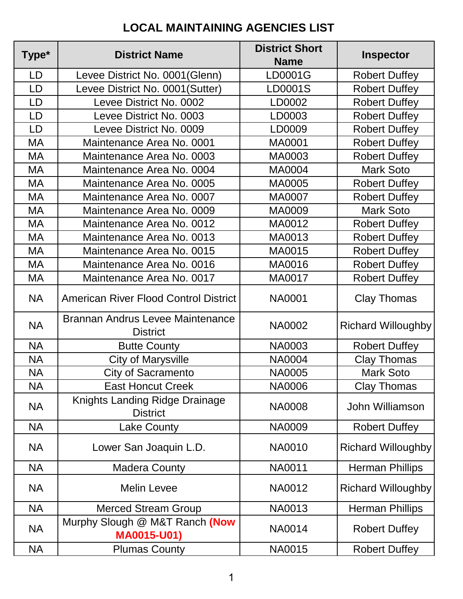## **LOCAL MAINTAINING AGENCIES LIST**

| Type*     | <b>District Name</b>                                       | <b>District Short</b><br><b>Name</b> | <b>Inspector</b>          |
|-----------|------------------------------------------------------------|--------------------------------------|---------------------------|
| LD        | Levee District No. 0001(Glenn)                             | LD0001G                              | <b>Robert Duffey</b>      |
| LD        | Levee District No. 0001(Sutter)                            | LD0001S                              | <b>Robert Duffey</b>      |
| LD        | Levee District No. 0002                                    | LD0002                               | <b>Robert Duffey</b>      |
| LD        | Levee District No. 0003                                    | LD0003                               | <b>Robert Duffey</b>      |
| LD        | Levee District No. 0009                                    | LD0009                               | <b>Robert Duffey</b>      |
| МA        | Maintenance Area No. 0001                                  | MA0001                               | <b>Robert Duffey</b>      |
| МA        | Maintenance Area No. 0003                                  | MA0003                               | <b>Robert Duffey</b>      |
| МA        | Maintenance Area No. 0004                                  | MA0004                               | <b>Mark Soto</b>          |
| МA        | Maintenance Area No. 0005                                  | MA0005                               | <b>Robert Duffey</b>      |
| МA        | Maintenance Area No. 0007                                  | MA0007                               | <b>Robert Duffey</b>      |
| MA        | Maintenance Area No. 0009                                  | MA0009                               | <b>Mark Soto</b>          |
| МA        | Maintenance Area No. 0012                                  | MA0012                               | <b>Robert Duffey</b>      |
| МA        | Maintenance Area No. 0013                                  | MA0013                               | <b>Robert Duffey</b>      |
| МA        | Maintenance Area No. 0015                                  | MA0015                               | <b>Robert Duffey</b>      |
| МA        | Maintenance Area No. 0016                                  | MA0016                               | <b>Robert Duffey</b>      |
| МA        | Maintenance Area No. 0017                                  | MA0017                               | <b>Robert Duffey</b>      |
| <b>NA</b> | <b>American River Flood Control District</b>               | <b>NA0001</b>                        | <b>Clay Thomas</b>        |
| <b>NA</b> | <b>Brannan Andrus Levee Maintenance</b><br><b>District</b> | <b>NA0002</b>                        | <b>Richard Willoughby</b> |
| <b>NA</b> | <b>Butte County</b>                                        | <b>NA0003</b>                        | <b>Robert Duffey</b>      |
| <b>NA</b> | <b>City of Marysville</b>                                  | <b>NA0004</b>                        | <b>Clay Thomas</b>        |
| <b>NA</b> | <b>City of Sacramento</b>                                  | <b>NA0005</b>                        | <b>Mark Soto</b>          |
| <b>NA</b> | <b>East Honcut Creek</b>                                   | NA0006                               | <b>Clay Thomas</b>        |
| <b>NA</b> | Knights Landing Ridge Drainage<br><b>District</b>          | <b>NA0008</b>                        | John Williamson           |
| <b>NA</b> | <b>Lake County</b>                                         | <b>NA0009</b>                        | <b>Robert Duffey</b>      |
| <b>NA</b> | Lower San Joaquin L.D.                                     | NA0010                               | <b>Richard Willoughby</b> |
| <b>NA</b> | <b>Madera County</b>                                       | <b>NA0011</b>                        | <b>Herman Phillips</b>    |
| <b>NA</b> | <b>Melin Levee</b>                                         | NA0012                               | <b>Richard Willoughby</b> |
| <b>NA</b> | <b>Merced Stream Group</b>                                 | NA0013                               | <b>Herman Phillips</b>    |
| <b>NA</b> | Murphy Slough @ M&T Ranch (Now<br><b>MA0015-U01)</b>       | NA0014                               | <b>Robert Duffey</b>      |
| <b>NA</b> | <b>Plumas County</b>                                       | NA0015                               | <b>Robert Duffey</b>      |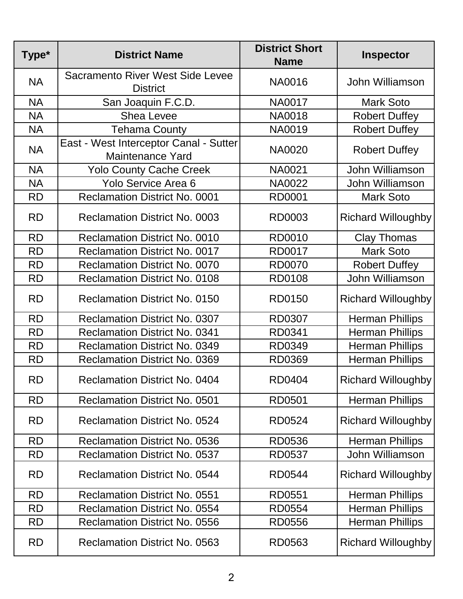| Type*     | <b>District Name</b>                                              | <b>District Short</b><br><b>Name</b> | <b>Inspector</b>          |
|-----------|-------------------------------------------------------------------|--------------------------------------|---------------------------|
| <b>NA</b> | Sacramento River West Side Levee<br><b>District</b>               | <b>NA0016</b>                        | John Williamson           |
| <b>NA</b> | San Joaquin F.C.D.                                                | <b>NA0017</b>                        | <b>Mark Soto</b>          |
| <b>NA</b> | <b>Shea Levee</b>                                                 | <b>NA0018</b>                        | <b>Robert Duffey</b>      |
| <b>NA</b> | <b>Tehama County</b>                                              | <b>NA0019</b>                        | <b>Robert Duffey</b>      |
| <b>NA</b> | East - West Interceptor Canal - Sutter<br><b>Maintenance Yard</b> | <b>NA0020</b>                        | <b>Robert Duffey</b>      |
| <b>NA</b> | <b>Yolo County Cache Creek</b>                                    | NA0021                               | John Williamson           |
| <b>NA</b> | Yolo Service Area 6                                               | <b>NA0022</b>                        | John Williamson           |
| <b>RD</b> | <b>Reclamation District No. 0001</b>                              | <b>RD0001</b>                        | <b>Mark Soto</b>          |
| <b>RD</b> | <b>Reclamation District No. 0003</b>                              | RD0003                               | <b>Richard Willoughby</b> |
| <b>RD</b> | <b>Reclamation District No. 0010</b>                              | RD0010                               | <b>Clay Thomas</b>        |
| <b>RD</b> | <b>Reclamation District No. 0017</b>                              | <b>RD0017</b>                        | <b>Mark Soto</b>          |
| <b>RD</b> | <b>Reclamation District No. 0070</b>                              | <b>RD0070</b>                        | <b>Robert Duffey</b>      |
| <b>RD</b> | <b>Reclamation District No. 0108</b>                              | <b>RD0108</b>                        | John Williamson           |
| <b>RD</b> | <b>Reclamation District No. 0150</b>                              | <b>RD0150</b>                        | <b>Richard Willoughby</b> |
| <b>RD</b> | <b>Reclamation District No. 0307</b>                              | RD0307                               | <b>Herman Phillips</b>    |
| <b>RD</b> | <b>Reclamation District No. 0341</b>                              | RD0341                               | <b>Herman Phillips</b>    |
| <b>RD</b> | <b>Reclamation District No. 0349</b>                              | RD0349                               | <b>Herman Phillips</b>    |
| <b>RD</b> | <b>Reclamation District No. 0369</b>                              | <b>RD0369</b>                        | <b>Herman Phillips</b>    |
| <b>RD</b> | <b>Reclamation District No. 0404</b>                              | <b>RD0404</b>                        | <b>Richard Willoughby</b> |
| <b>RD</b> | <b>Reclamation District No. 0501</b>                              | RD0501                               | <b>Herman Phillips</b>    |
| <b>RD</b> | <b>Reclamation District No. 0524</b>                              | RD0524                               | <b>Richard Willoughby</b> |
| <b>RD</b> | <b>Reclamation District No. 0536</b>                              | RD0536                               | <b>Herman Phillips</b>    |
| <b>RD</b> | <b>Reclamation District No. 0537</b>                              | RD0537                               | John Williamson           |
| <b>RD</b> | <b>Reclamation District No. 0544</b>                              | <b>RD0544</b>                        | <b>Richard Willoughby</b> |
| <b>RD</b> | <b>Reclamation District No. 0551</b>                              | RD0551                               | <b>Herman Phillips</b>    |
| <b>RD</b> | <b>Reclamation District No. 0554</b>                              | <b>RD0554</b>                        | <b>Herman Phillips</b>    |
| <b>RD</b> | <b>Reclamation District No. 0556</b>                              | RD0556                               | <b>Herman Phillips</b>    |
| <b>RD</b> | <b>Reclamation District No. 0563</b>                              | RD0563                               | <b>Richard Willoughby</b> |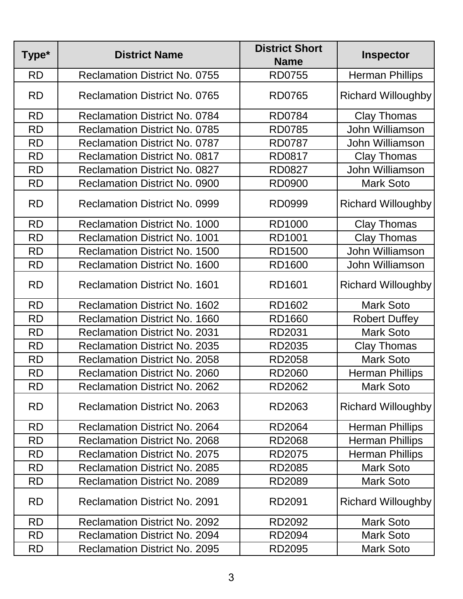| Type*     | <b>District Name</b>                 | <b>District Short</b><br><b>Name</b> | <b>Inspector</b>          |  |
|-----------|--------------------------------------|--------------------------------------|---------------------------|--|
| <b>RD</b> | <b>Reclamation District No. 0755</b> | <b>RD0755</b>                        | <b>Herman Phillips</b>    |  |
| <b>RD</b> | <b>Reclamation District No. 0765</b> | <b>RD0765</b>                        | <b>Richard Willoughby</b> |  |
| <b>RD</b> | <b>Reclamation District No. 0784</b> | <b>RD0784</b>                        | <b>Clay Thomas</b>        |  |
| <b>RD</b> | <b>Reclamation District No. 0785</b> | <b>RD0785</b>                        | John Williamson           |  |
| <b>RD</b> | <b>Reclamation District No. 0787</b> | <b>RD0787</b>                        | John Williamson           |  |
| <b>RD</b> | <b>Reclamation District No. 0817</b> | RD0817                               | <b>Clay Thomas</b>        |  |
| <b>RD</b> | <b>Reclamation District No. 0827</b> | <b>RD0827</b>                        | John Williamson           |  |
| <b>RD</b> | Reclamation District No. 0900        | <b>RD0900</b>                        | <b>Mark Soto</b>          |  |
| <b>RD</b> | <b>Reclamation District No. 0999</b> | RD0999                               | <b>Richard Willoughby</b> |  |
| <b>RD</b> | <b>Reclamation District No. 1000</b> | <b>RD1000</b>                        | <b>Clay Thomas</b>        |  |
| <b>RD</b> | <b>Reclamation District No. 1001</b> | RD1001                               | <b>Clay Thomas</b>        |  |
| <b>RD</b> | <b>Reclamation District No. 1500</b> | <b>RD1500</b>                        | John Williamson           |  |
| <b>RD</b> | <b>Reclamation District No. 1600</b> | <b>RD1600</b>                        | John Williamson           |  |
| <b>RD</b> | <b>Reclamation District No. 1601</b> | <b>RD1601</b>                        | <b>Richard Willoughby</b> |  |
| <b>RD</b> | <b>Reclamation District No. 1602</b> | RD1602                               | <b>Mark Soto</b>          |  |
| <b>RD</b> | <b>Reclamation District No. 1660</b> | <b>RD1660</b>                        | <b>Robert Duffey</b>      |  |
| <b>RD</b> | <b>Reclamation District No. 2031</b> | RD2031                               | <b>Mark Soto</b>          |  |
| <b>RD</b> | <b>Reclamation District No. 2035</b> | RD2035                               | <b>Clay Thomas</b>        |  |
| <b>RD</b> | <b>Reclamation District No. 2058</b> | <b>RD2058</b>                        | <b>Mark Soto</b>          |  |
| <b>RD</b> | <b>Reclamation District No. 2060</b> | <b>RD2060</b>                        | <b>Herman Phillips</b>    |  |
| <b>RD</b> | <b>Reclamation District No. 2062</b> | RD2062                               | <b>Mark Soto</b>          |  |
| <b>RD</b> | <b>Reclamation District No. 2063</b> | RD2063                               | <b>Richard Willoughby</b> |  |
| <b>RD</b> | <b>Reclamation District No. 2064</b> | <b>RD2064</b>                        | <b>Herman Phillips</b>    |  |
| <b>RD</b> | <b>Reclamation District No. 2068</b> | <b>RD2068</b>                        | <b>Herman Phillips</b>    |  |
| <b>RD</b> | <b>Reclamation District No. 2075</b> | RD2075                               | <b>Herman Phillips</b>    |  |
| <b>RD</b> | <b>Reclamation District No. 2085</b> | RD2085                               | <b>Mark Soto</b>          |  |
| <b>RD</b> | <b>Reclamation District No. 2089</b> | RD2089                               | <b>Mark Soto</b>          |  |
| <b>RD</b> | <b>Reclamation District No. 2091</b> | RD2091                               | <b>Richard Willoughby</b> |  |
| <b>RD</b> | <b>Reclamation District No. 2092</b> | RD2092                               | <b>Mark Soto</b>          |  |
| <b>RD</b> | <b>Reclamation District No. 2094</b> | RD2094                               | <b>Mark Soto</b>          |  |
| <b>RD</b> | <b>Reclamation District No. 2095</b> | RD2095                               | <b>Mark Soto</b>          |  |